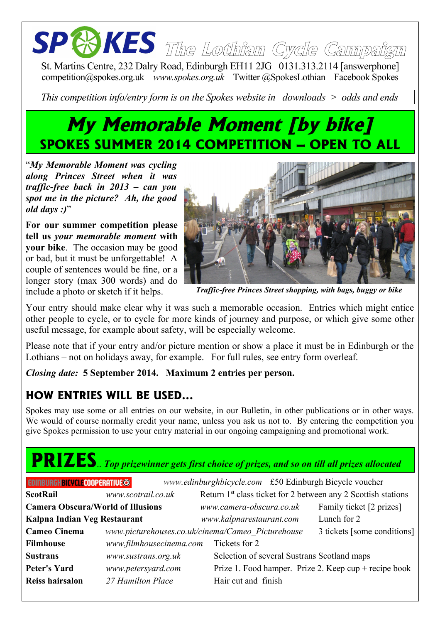# **The Lothian Cycle Campaign**

St. Martins Centre, 232 Dalry Road, Edinburgh EH11 2JG 0131.313.2114 [answerphone] competition@spokes.org.uk *www.spokes.org.uk* Twitter @SpokesLothian Facebook Spokes

*This competition info/entry form is on the Spokes website in downloads > odds and ends*

### **My Memorable Moment [by bike] SPOKES SUMMER 2014 COMPETITION – OPEN TO ALL**

"*My Memorable Moment was cycling along Princes Street when it was traffic-free back in 2013 – can you spot me in the picture? Ah, the good old days :)*"

**For our summer competition please tell us** *your memorable moment* **with your bike**. The occasion may be good or bad, but it must be unforgettable! A couple of sentences would be fine, or a longer story (max 300 words) and do include a photo or sketch if it helps.



*Traffic-free Princes Street shopping, with bags, buggy or bike*

Your entry should make clear why it was such a memorable occasion. Entries which might entice other people to cycle, or to cycle for more kinds of journey and purpose, or which give some other useful message, for example about safety, will be especially welcome.

Please note that if your entry and/or picture mention or show a place it must be in Edinburgh or the Lothians – not on holidays away, for example. For full rules, see entry form overleaf.

*Closing date:* **5 September 2014. Maximum 2 entries per person.**

#### **HOW ENTRIES WILL BE USED...**

Spokes may use some or all entries on our website, in our Bulletin, in other publications or in other ways. We would of course normally credit your name, unless you ask us not to. By entering the competition you give Spokes permission to use your entry material in our ongoing campaigning and promotional work.

## **PRIZES**.. *Top prizewinner gets first choice of prizes, and so on till all prizes allocated*

| <b>EDINBURGHBICYCLECOOPERATIVE©</b>      |                         | www.edinburghbicycle.com £50 Edinburgh Bicycle voucher                    |                             |
|------------------------------------------|-------------------------|---------------------------------------------------------------------------|-----------------------------|
| <b>ScotRail</b>                          | www.scotrail.co.uk      | Return 1 <sup>st</sup> class ticket for 2 between any 2 Scottish stations |                             |
| <b>Camera Obscura/World of Illusions</b> |                         | www.camera-obscura.co.uk                                                  | Family ticket [2 prizes]    |
| Kalpna Indian Veg Restaurant             |                         | www.kalpnarestaurant.com                                                  | Lunch for 2                 |
| <b>Cameo Cinema</b>                      |                         | www.picturehouses.co.uk/cinema/Cameo Picturehouse                         | 3 tickets [some conditions] |
| <b>Filmhouse</b>                         | www.filmhousecinema.com | Tickets for 2                                                             |                             |
| <b>Sustrans</b>                          | www.sustrans.org.uk     | Selection of several Sustrans Scotland maps                               |                             |
| <b>Peter's Yard</b>                      | www.petersyard.com      | Prize 1. Food hamper. Prize 2. Keep $cup +$ recipe book                   |                             |
| <b>Reiss hairsalon</b>                   | 27 Hamilton Place       | Hair cut and finish                                                       |                             |